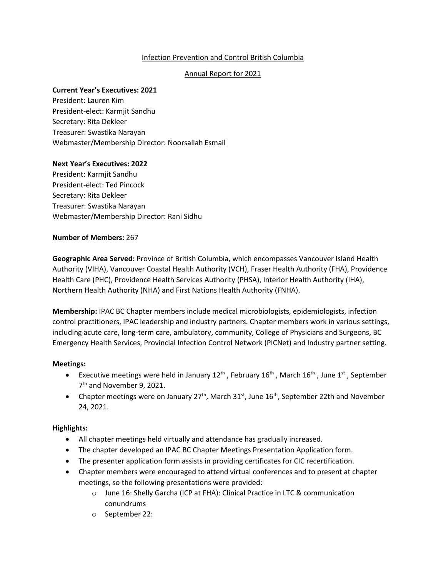# Infection Prevention and Control British Columbia

# Annual Report for 2021

# **Current Year's Executives: 2021**

President: Lauren Kim President-elect: Karmjit Sandhu Secretary: Rita Dekleer Treasurer: Swastika Narayan Webmaster/Membership Director: Noorsallah Esmail

# **Next Year's Executives: 2022**

President: Karmjit Sandhu President-elect: Ted Pincock Secretary: Rita Dekleer Treasurer: Swastika Narayan Webmaster/Membership Director: Rani Sidhu

# **Number of Members:** 267

**Geographic Area Served:** Province of British Columbia, which encompasses Vancouver Island Health Authority (VIHA), Vancouver Coastal Health Authority (VCH), Fraser Health Authority (FHA), Providence Health Care (PHC), Providence Health Services Authority (PHSA), Interior Health Authority (IHA), Northern Health Authority (NHA) and First Nations Health Authority (FNHA).

**Membership:** IPAC BC Chapter members include medical microbiologists, epidemiologists, infection control practitioners, IPAC leadership and industry partners. Chapter members work in various settings, including acute care, long-term care, ambulatory, community, College of Physicians and Surgeons, BC Emergency Health Services, Provincial Infection Control Network (PICNet) and Industry partner setting.

# **Meetings:**

- Executive meetings were held in January  $12^{th}$ , February  $16^{th}$ , March  $16^{th}$ , June  $1^{st}$ , September 7<sup>th</sup> and November 9, 2021.
- Chapter meetings were on January  $27<sup>th</sup>$ , March  $31<sup>st</sup>$ , June  $16<sup>th</sup>$ , September 22th and November 24, 2021.

- All chapter meetings held virtually and attendance has gradually increased.
- The chapter developed an IPAC BC Chapter Meetings Presentation Application form.
- The presenter application form assists in providing certificates for CIC recertification.
- Chapter members were encouraged to attend virtual conferences and to present at chapter meetings, so the following presentations were provided:
	- o June 16: Shelly Garcha (ICP at FHA): Clinical Practice in LTC & communication conundrums
	- o September 22: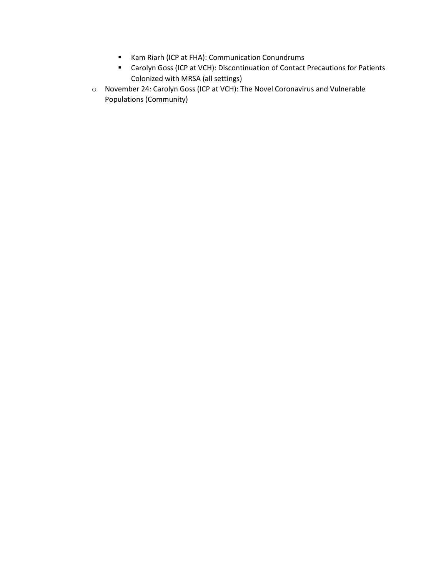- Kam Riarh (ICP at FHA): Communication Conundrums
- Carolyn Goss (ICP at VCH): Discontinuation of Contact Precautions for Patients Colonized with MRSA (all settings)
- o November 24: Carolyn Goss (ICP at VCH): The Novel Coronavirus and Vulnerable Populations (Community)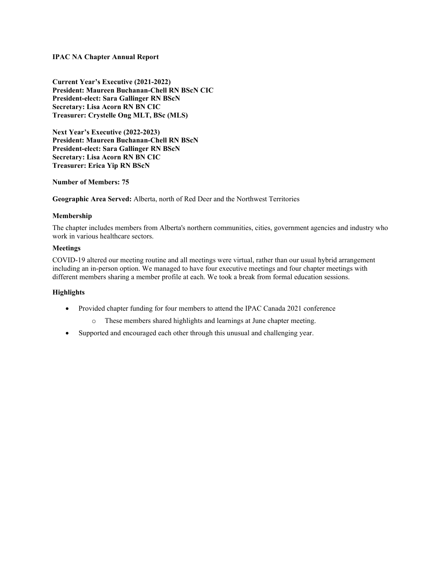### **IPAC NA Chapter Annual Report**

**Current Year's Executive (2021-2022) President: Maureen Buchanan-Chell RN BScN CIC President-elect: Sara Gallinger RN BScN Secretary: Lisa Acorn RN BN CIC Treasurer: Crystelle Ong MLT, BSc (MLS)**

**Next Year's Executive (2022-2023) President: Maureen Buchanan-Chell RN BScN President-elect: Sara Gallinger RN BScN Secretary: Lisa Acorn RN BN CIC Treasurer: Erica Yip RN BScN**

#### **Number of Members: 75**

**Geographic Area Served:** Alberta, north of Red Deer and the Northwest Territories

### **Membership**

The chapter includes members from Alberta's northern communities, cities, government agencies and industry who work in various healthcare sectors.

### **Meetings**

COVID-19 altered our meeting routine and all meetings were virtual, rather than our usual hybrid arrangement including an in-person option. We managed to have four executive meetings and four chapter meetings with different members sharing a member profile at each. We took a break from formal education sessions.

- Provided chapter funding for four members to attend the IPAC Canada 2021 conference
	- o These members shared highlights and learnings at June chapter meeting.
- Supported and encouraged each other through this unusual and challenging year.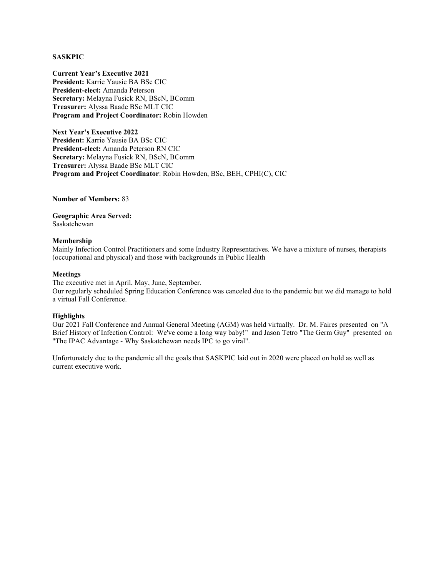#### **SASKPIC**

**Current Year's Executive 2021 President:** Karrie Yausie BA BSc CIC **President-elect:** Amanda Peterson **Secretary:** Melayna Fusick RN, BScN, BComm **Treasurer:** Alyssa Baade BSc MLT CIC **Program and Project Coordinator:** Robin Howden

**Next Year's Executive 2022 President:** Karrie Yausie BA BSc CIC **President-elect:** Amanda Peterson RN CIC **Secretary:** Melayna Fusick RN, BScN, BComm **Treasurer:** Alyssa Baade BSc MLT CIC **Program and Project Coordinator**: Robin Howden, BSc, BEH, CPHI(C), CIC

**Number of Members:** 83

**Geographic Area Served:**  Saskatchewan

#### **Membership**

Mainly Infection Control Practitioners and some Industry Representatives. We have a mixture of nurses, therapists (occupational and physical) and those with backgrounds in Public Health

#### **Meetings**

The executive met in April, May, June, September. Our regularly scheduled Spring Education Conference was canceled due to the pandemic but we did manage to hold a virtual Fall Conference.

#### **Highlights**

Our 2021 Fall Conference and Annual General Meeting (AGM) was held virtually. Dr. M. Faires presented on "A Brief History of Infection Control: We've come a long way baby!" and Jason Tetro "The Germ Guy" presented on "The IPAC Advantage - Why Saskatchewan needs IPC to go viral".

Unfortunately due to the pandemic all the goals that SASKPIC laid out in 2020 were placed on hold as well as current executive work.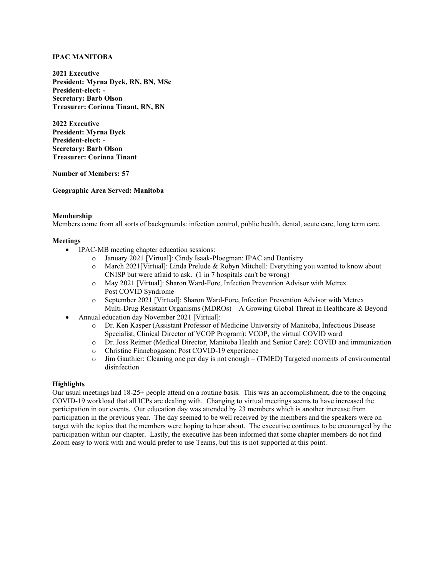### **IPAC MANITOBA**

**2021 Executive President: Myrna Dyck, RN, BN, MSc President-elect: - Secretary: Barb Olson Treasurer: Corinna Tinant, RN, BN**

**2022 Executive President: Myrna Dyck President-elect: - Secretary: Barb Olson Treasurer: Corinna Tinant**

**Number of Members: 57**

**Geographic Area Served: Manitoba**

### **Membership**

Members come from all sorts of backgrounds: infection control, public health, dental, acute care, long term care.

### **Meetings**

- IPAC-MB meeting chapter education sessions:
	- o January 2021 [Virtual]: Cindy Isaak-Ploegman: IPAC and Dentistry
	- o March 2021[Virtual]: Linda Prelude & Robyn Mitchell: Everything you wanted to know about CNISP but were afraid to ask. (1 in 7 hospitals can't be wrong)
	- o May 2021 [Virtual]: Sharon Ward-Fore, Infection Prevention Advisor with Metrex Post COVID Syndrome
	- o September 2021 [Virtual]: Sharon Ward-Fore, Infection Prevention Advisor with Metrex Multi-Drug Resistant Organisms (MDROs) – A Growing Global Threat in Healthcare & Beyond
- Annual education day November 2021 [Virtual]:
	- o Dr. Ken Kasper (Assistant Professor of Medicine University of Manitoba, Infectious Disease Specialist, Clinical Director of VCOP Program): VCOP, the virtual COVID ward
	- o Dr. Joss Reimer (Medical Director, Manitoba Health and Senior Care): COVID and immunization
	- $\circ$  Christine Finnebogason: Post COVID-19 experience<br> $\circ$  Jim Gauthier: Cleaning one per day is not enough (
	- Jim Gauthier: Cleaning one per day is not enough (TMED) Targeted moments of environmental disinfection

## **Highlights**

Our usual meetings had 18-25+ people attend on a routine basis. This was an accomplishment, due to the ongoing COVID-19 workload that all ICPs are dealing with. Changing to virtual meetings seems to have increased the participation in our events. Our education day was attended by 23 members which is another increase from participation in the previous year. The day seemed to be well received by the members and the speakers were on target with the topics that the members were hoping to hear about. The executive continues to be encouraged by the participation within our chapter. Lastly, the executive has been informed that some chapter members do not find Zoom easy to work with and would prefer to use Teams, but this is not supported at this point.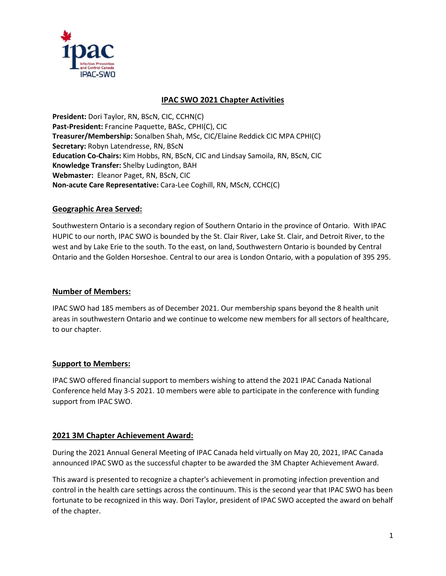

# **IPAC SWO 2021 Chapter Activities**

**President:** Dori Taylor, RN, BScN, CIC, CCHN(C) **Past-President:** Francine Paquette, BASc, CPHI(C), CIC **Treasurer/Membership:** Sonalben Shah, MSc, CIC/Elaine Reddick CIC MPA CPHI(C) **Secretary:** Robyn Latendresse, RN, BScN **Education Co-Chairs:** Kim Hobbs, RN, BScN, CIC and Lindsay Samoila, RN, BScN, CIC **Knowledge Transfer:** Shelby Ludington, BAH **Webmaster:** Eleanor Paget, RN, BScN, CIC **Non-acute Care Representative:** Cara-Lee Coghill, RN, MScN, CCHC(C)

# **Geographic Area Served:**

Southwestern Ontario is a secondary region of Southern Ontario in the province of Ontario. With IPAC HUPIC to our north, IPAC SWO is bounded by the St. Clair River, Lake St. Clair, and Detroit River, to the west and by Lake Erie to the south. To the east, on land, Southwestern Ontario is bounded by Central Ontario and the Golden Horseshoe. Central to our area is London Ontario, with a population of 395 295.

# **Number of Members:**

IPAC SWO had 185 members as of December 2021. Our membership spans beyond the 8 health unit areas in southwestern Ontario and we continue to welcome new members for all sectors of healthcare, to our chapter.

# **Support to Members:**

IPAC SWO offered financial support to members wishing to attend the 2021 IPAC Canada National Conference held May 3-5 2021. 10 members were able to participate in the conference with funding support from IPAC SWO.

# **2021 3M Chapter Achievement Award:**

During the 2021 Annual General Meeting of IPAC Canada held virtually on May 20, 2021, IPAC Canada announced IPAC SWO as the successful chapter to be awarded the 3M Chapter Achievement Award.

This award is presented to recognize a chapter's achievement in promoting infection prevention and control in the health care settings across the continuum. This is the second year that IPAC SWO has been fortunate to be recognized in this way. Dori Taylor, president of IPAC SWO accepted the award on behalf of the chapter.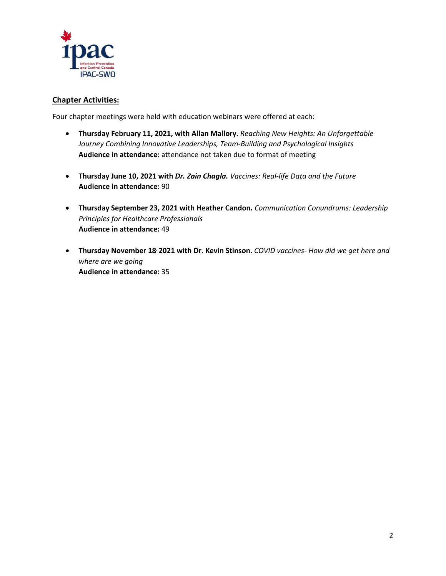

# **Chapter Activities:**

Four chapter meetings were held with education webinars were offered at each:

- **Thursday February 11, 2021, with Allan Mallory.** *Reaching New Heights: An Unforgettable Journey Combining Innovative Leaderships, Team-Building and Psychological Insights* **Audience in attendance:** attendance not taken due to format of meeting
- **Thursday June 10, 2021 with** *Dr. Zain Chagla. Vaccines: Real-life Data and the Future* **Audience in attendance:** 90
- **Thursday September 23, 2021 with Heather Candon.** *Communication Conundrums: Leadership Principles for Healthcare Professionals* **Audience in attendance:** 49
- **Thursday November 18, 2021 with Dr. Kevin Stinson.** *COVID vaccines- How did we get here and where are we going* **Audience in attendance:** 35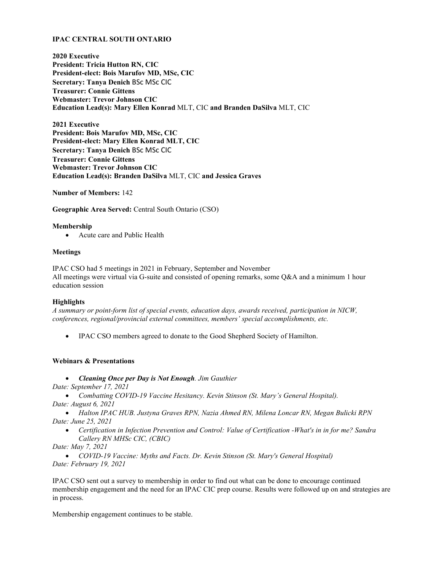### **IPAC CENTRAL SOUTH ONTARIO**

**2020 Executive President: Tricia Hutton RN, CIC President-elect: Bois Marufov MD, MSc, CIC Secretary: Tanya Denich** BSc MSc CIC **Treasurer: Connie Gittens Webmaster: Trevor Johnson CIC Education Lead(s): Mary Ellen Konrad** MLT, CIC **and Branden DaSilva** MLT, CIC

**2021 Executive President: Bois Marufov MD, MSc, CIC President-elect: Mary Ellen Konrad MLT, CIC Secretary: Tanya Denich** BSc MSc CIC **Treasurer: Connie Gittens Webmaster: Trevor Johnson CIC Education Lead(s): Branden DaSilva** MLT, CIC **and Jessica Graves**

**Number of Members:** 142

**Geographic Area Served:** Central South Ontario (CSO)

### **Membership**

• Acute care and Public Health

### **Meetings**

IPAC CSO had 5 meetings in 2021 in February, September and November All meetings were virtual via G-suite and consisted of opening remarks, some Q&A and a minimum 1 hour education session

#### **Highlights**

*A summary or point-form list of special events, education days, awards received, participation in NICW, conferences, regional/provincial external committees, members' special accomplishments, etc.*

IPAC CSO members agreed to donate to the Good Shepherd Society of Hamilton.

## **Webinars & Presentations**

• *Cleaning Once per Day is Not Enough. Jim Gauthier*

*Date: September 17, 2021*

• *Combatting COVID-19 Vaccine Hesitancy. Kevin Stinson (St. Mary's General Hospital). Date: August 6, 2021*

• *Halton IPAC HUB. Justyna Graves RPN, Nazia Ahmed RN, Milena Loncar RN, Megan Bulicki RPN Date: June 25, 2021*

• *Certification in Infection Prevention and Control: Value of Certification -What's in in for me? Sandra Callery RN MHSc CIC, (CBIC)*

*Date: May 7, 2021*

• *COVID-19 Vaccine: Myths and Facts. Dr. Kevin Stinson (St. Mary's General Hospital) Date: February 19, 2021*

IPAC CSO sent out a survey to membership in order to find out what can be done to encourage continued membership engagement and the need for an IPAC CIC prep course. Results were followed up on and strategies are in process.

Membership engagement continues to be stable.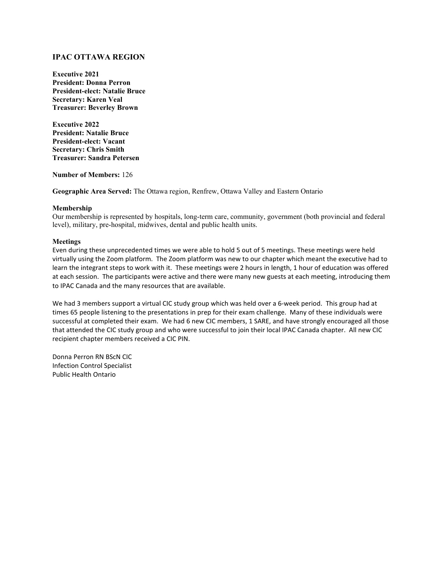## **IPAC OTTAWA REGION**

**Executive 2021 President: Donna Perron President-elect: Natalie Bruce Secretary: Karen Veal Treasurer: Beverley Brown** 

**Executive 2022 President: Natalie Bruce President-elect: Vacant Secretary: Chris Smith Treasurer: Sandra Petersen**

**Number of Members:** 126

**Geographic Area Served:** The Ottawa region, Renfrew, Ottawa Valley and Eastern Ontario

#### **Membership**

Our membership is represented by hospitals, long-term care, community, government (both provincial and federal level), military, pre-hospital, midwives, dental and public health units.

#### **Meetings**

Even during these unprecedented times we were able to hold 5 out of 5 meetings. These meetings were held virtually using the Zoom platform. The Zoom platform was new to our chapter which meant the executive had to learn the integrant steps to work with it. These meetings were 2 hours in length, 1 hour of education was offered at each session. The participants were active and there were many new guests at each meeting, introducing them to IPAC Canada and the many resources that are available.

We had 3 members support a virtual CIC study group which was held over a 6-week period. This group had at times 65 people listening to the presentations in prep for their exam challenge. Many of these individuals were successful at completed their exam. We had 6 new CIC members, 1 SARE, and have strongly encouraged all those that attended the CIC study group and who were successful to join their local IPAC Canada chapter. All new CIC recipient chapter members received a CIC PIN.

Donna Perron RN BScN CIC Infection Control Specialist Public Health Ontario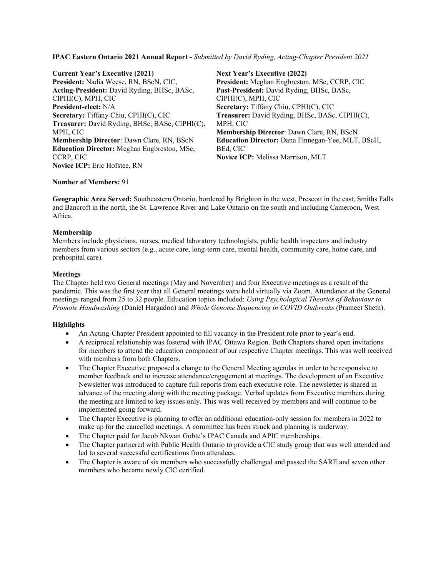**IPAC Eastern Ontario 2021 Annual Report -** *Submitted by David Ryding, Acting-Chapter President 2021*

**Current Year's Executive (2021) President:** Nadia Weese, RN, BScN, CIC, **Acting-President:** David Ryding, BHSc, BASc, CIPHI(C), MPH, CIC **President-elect:** N/A **Secretary:** Tiffany Chiu, CPHI(C), CIC **Treasurer:** David Ryding, BHSc, BASc, CIPHI(C), MPH, CIC **Membership Director**: Dawn Clare, RN, BScN **Education Director:** Meghan Engbreston, MSc, CCRP, CIC **Novice ICP:** Eric Hofstee, RN

**Next Year's Executive (2022) President:** Meghan Engbreston, MSc, CCRP, CIC **Past-President:** David Ryding, BHSc, BASc, CIPHI(C), MPH, CIC **Secretary:** Tiffany Chiu, CPHI(C), CIC **Treasurer:** David Ryding, BHSc, BASc, CIPHI(C), MPH, CIC **Membership Director**: Dawn Clare, RN, BScN **Education Director:** Dana Finnegan-Yee, MLT, BScH, BEd, CIC **Novice ICP:** Melissa Marrison, MLT

### **Number of Members:** 91

**Geographic Area Served:** Southeastern Ontario, bordered by Brighton in the west, Prescott in the east, Smiths Falls and Bancroft in the north, the St. Lawrence River and Lake Ontario on the south and including Cameroon, West Africa.

### **Membership**

Members include physicians, nurses, medical laboratory technologists, public health inspectors and industry members from various sectors (e.g., acute care, long-term care, mental health, community care, home care, and prehospital care).

### **Meetings**

The Chapter held two General meetings (May and November) and four Executive meetings as a result of the pandemic. This was the first year that all General meetings were held virtually via Zoom. Attendance at the General meetings ranged from 25 to 32 people. Education topics included: *Using Psychological Theories of Behaviour to Promote Handwashing* (Daniel Hargadon) and *Whole Genome Sequencing in COVID Outbreaks* (Prameet Sheth).

- An Acting-Chapter President appointed to fill vacancy in the President role prior to year's end.
- A reciprocal relationship was fostered with IPAC Ottawa Region. Both Chapters shared open invitations for members to attend the education component of our respective Chapter meetings. This was well received with members from both Chapters.
- The Chapter Executive proposed a change to the General Meeting agendas in order to be responsive to member feedback and to increase attendance/engagement at meetings. The development of an Executive Newsletter was introduced to capture full reports from each executive role. The newsletter is shared in advance of the meeting along with the meeting package. Verbal updates from Executive members during the meeting are limited to key issues only. This was well received by members and will continue to be implemented going forward.
- The Chapter Executive is planning to offer an additional education-only session for members in 2022 to make up for the cancelled meetings. A committee has been struck and planning is underway.
- The Chapter paid for Jacob Nkwan Gobte's IPAC Canada and APIC memberships.
- The Chapter partnered with Public Health Ontario to provide a CIC study group that was well attended and led to several successful certifications from attendees.
- The Chapter is aware of six members who successfully challenged and passed the SARE and seven other members who became newly CIC certified.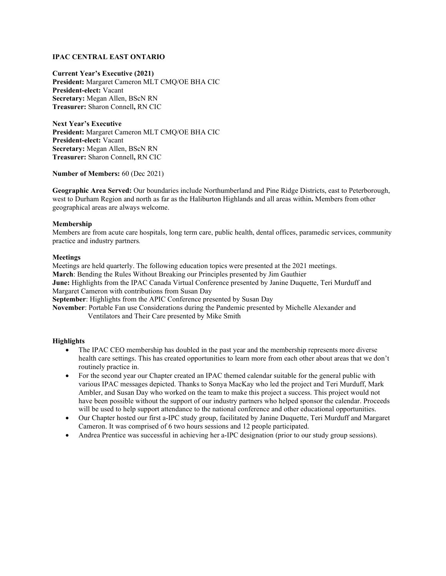### **IPAC CENTRAL EAST ONTARIO**

**Current Year's Executive (2021) President:** Margaret Cameron MLT CMQ/OE BHA CIC **President-elect:** Vacant **Secretary:** Megan Allen, BScN RN **Treasurer:** Sharon Connell**,** RN CIC

**Next Year's Executive President:** Margaret Cameron MLT CMQ/OE BHA CIC **President-elect:** Vacant **Secretary:** Megan Allen, BScN RN **Treasurer:** Sharon Connell**,** RN CIC

**Number of Members:** 60 (Dec 2021)

**Geographic Area Served:** Our boundaries include Northumberland and Pine Ridge Districts, east to Peterborough, west to Durham Region and north as far as the Haliburton Highlands and all areas within**.** Members from other geographical areas are always welcome.

#### **Membership**

Members are from acute care hospitals, long term care, public health, dental offices, paramedic services, community practice and industry partners*.*

#### **Meetings**

Meetings are held quarterly. The following education topics were presented at the 2021 meetings. **March**: Bending the Rules Without Breaking our Principles presented by Jim Gauthier **June:** Highlights from the IPAC Canada Virtual Conference presented by Janine Duquette, Teri Murduff and Margaret Cameron with contributions from Susan Day **September**: Highlights from the APIC Conference presented by Susan Day

**November**: Portable Fan use Considerations during the Pandemic presented by Michelle Alexander and Ventilators and Their Care presented by Mike Smith

- The IPAC CEO membership has doubled in the past year and the membership represents more diverse health care settings. This has created opportunities to learn more from each other about areas that we don't routinely practice in.
- For the second year our Chapter created an IPAC themed calendar suitable for the general public with various IPAC messages depicted. Thanks to Sonya MacKay who led the project and Teri Murduff, Mark Ambler, and Susan Day who worked on the team to make this project a success. This project would not have been possible without the support of our industry partners who helped sponsor the calendar. Proceeds will be used to help support attendance to the national conference and other educational opportunities.
- Our Chapter hosted our first a-IPC study group, facilitated by Janine Duquette, Teri Murduff and Margaret Cameron. It was comprised of 6 two hours sessions and 12 people participated.
- Andrea Prentice was successful in achieving her a-IPC designation (prior to our study group sessions).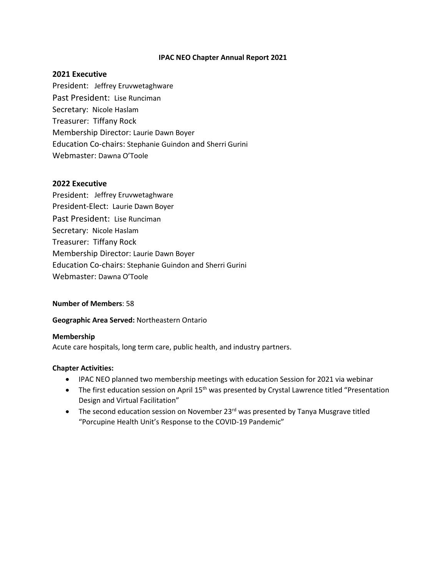## **IPAC NEO Chapter Annual Report 2021**

## **2021 Executive**

President: Jeffrey Eruvwetaghware Past President: Lise Runciman Secretary: Nicole Haslam Treasurer: Tiffany Rock Membership Director: Laurie Dawn Boyer Education Co-chairs: Stephanie Guindon and Sherri Gurini Webmaster: Dawna O'Toole

## **2022 Executive**

President: Jeffrey Eruvwetaghware President-Elect: Laurie Dawn Boyer Past President: Lise Runciman Secretary: Nicole Haslam Treasurer: Tiffany Rock Membership Director: Laurie Dawn Boyer Education Co-chairs: Stephanie Guindon and Sherri Gurini Webmaster: Dawna O'Toole

## **Number of Members**: 58

## **Geographic Area Served:** Northeastern Ontario

## **Membership**

Acute care hospitals, long term care, public health, and industry partners.

## **Chapter Activities:**

- IPAC NEO planned two membership meetings with education Session for 2021 via webinar
- The first education session on April 15<sup>th</sup> was presented by Crystal Lawrence titled "Presentation Design and Virtual Facilitation"
- The second education session on November  $23<sup>rd</sup>$  was presented by Tanya Musgrave titled "Porcupine Health Unit's Response to the COVID-19 Pandemic"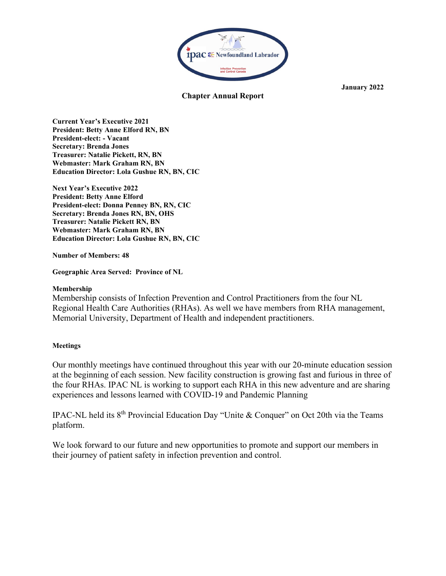

**Chapter Annual Report**

**Current Year's Executive 2021 President: Betty Anne Elford RN, BN President-elect: - Vacant Secretary: Brenda Jones Treasurer: Natalie Pickett, RN, BN Webmaster: Mark Graham RN, BN Education Director: Lola Gushue RN, BN, CIC**

**Next Year's Executive 2022 President: Betty Anne Elford President-elect: Donna Penney BN, RN, CIC Secretary: Brenda Jones RN, BN, OHS Treasurer: Natalie Pickett RN, BN Webmaster: Mark Graham RN, BN Education Director: Lola Gushue RN, BN, CIC**

**Number of Members: 48**

**Geographic Area Served: Province of NL**

## **Membership**

Membership consists of Infection Prevention and Control Practitioners from the four NL Regional Health Care Authorities (RHAs). As well we have members from RHA management, Memorial University, Department of Health and independent practitioners.

# **Meetings**

Our monthly meetings have continued throughout this year with our 20-minute education session at the beginning of each session. New facility construction is growing fast and furious in three of the four RHAs. IPAC NL is working to support each RHA in this new adventure and are sharing experiences and lessons learned with COVID-19 and Pandemic Planning

IPAC-NL held its 8th Provincial Education Day "Unite & Conquer" on Oct 20th via the Teams platform.

We look forward to our future and new opportunities to promote and support our members in their journey of patient safety in infection prevention and control.